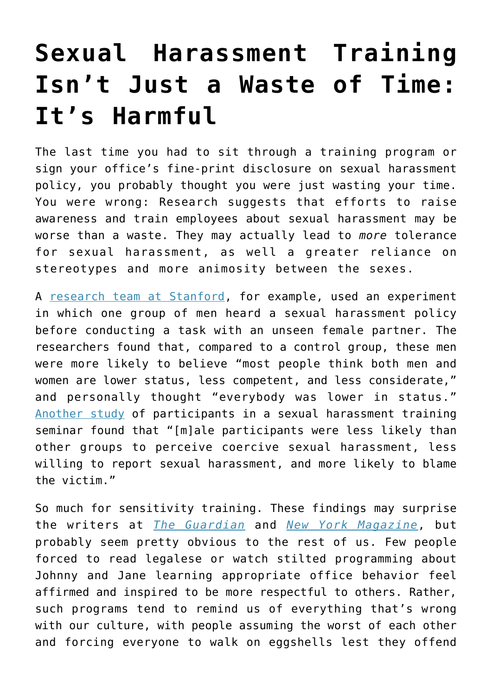## **[Sexual Harassment Training](https://intellectualtakeout.org/2016/05/sexual-harassment-training-isnt-just-a-waste-of-time-its-harmful/) [Isn't Just a Waste of Time:](https://intellectualtakeout.org/2016/05/sexual-harassment-training-isnt-just-a-waste-of-time-its-harmful/) [It's Harmful](https://intellectualtakeout.org/2016/05/sexual-harassment-training-isnt-just-a-waste-of-time-its-harmful/)**

The last time you had to sit through a training program or sign your office's fine-print disclosure on sexual harassment policy, you probably thought you were just wasting your time. You were wrong: Research suggests that efforts to raise awareness and train employees about sexual harassment may be worse than a waste. They may actually lead to *more* tolerance for sexual harassment, as well a greater reliance on stereotypes and more animosity between the sexes.

A [research team at Stanford](http://web.stanford.edu/%7Eliy/sexhar_spq_dec2007.pdf), for example, used an experiment in which one group of men heard a sexual harassment policy before conducting a task with an unseen female partner. The researchers found that, compared to a control group, these men were more likely to believe "most people think both men and women are lower status, less competent, and less considerate," and personally thought "everybody was lower in status." [Another study](http://jab.sagepub.com/content/37/2/125.abstract) of participants in a sexual harassment training seminar found that "[m]ale participants were less likely than other groups to perceive coercive sexual harassment, less willing to report sexual harassment, and more likely to blame the victim."

So much for sensitivity training. These findings may surprise the writers at *[The Guardian](http://www.theguardian.com/us-news/2016/may/02/sexual-harassment-training-failing-women)* and *[New York Magazine](http://nymag.com/thecut/2016/05/men-impervious-to-sexual-harassment-training.html)*, but probably seem pretty obvious to the rest of us. Few people forced to read legalese or watch stilted programming about Johnny and Jane learning appropriate office behavior feel affirmed and inspired to be more respectful to others. Rather, such programs tend to remind us of everything that's wrong with our culture, with people assuming the worst of each other and forcing everyone to walk on eggshells lest they offend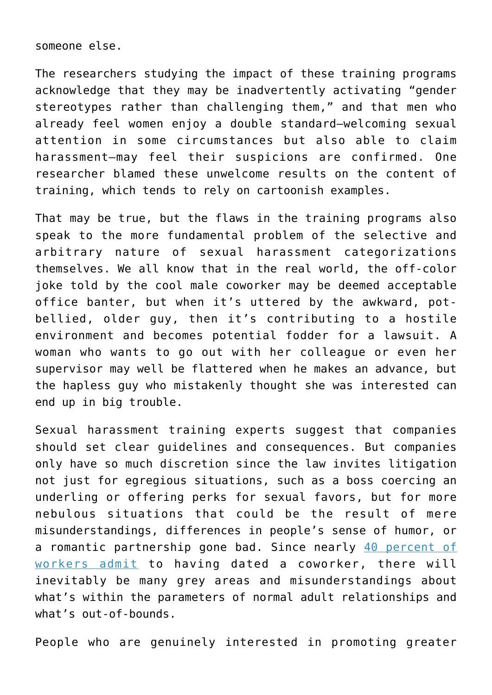someone else.

The researchers studying the impact of these training programs acknowledge that they may be inadvertently activating "gender stereotypes rather than challenging them," and that men who already feel women enjoy a double standard—welcoming sexual attention in some circumstances but also able to claim harassment—may feel their suspicions are confirmed. One researcher blamed these unwelcome results on the content of training, which tends to rely on cartoonish examples.

That may be true, but the flaws in the training programs also speak to the more fundamental problem of the selective and arbitrary nature of sexual harassment categorizations themselves. We all know that in the real world, the off-color joke told by the cool male coworker may be deemed acceptable office banter, but when it's uttered by the awkward, potbellied, older guy, then it's contributing to a hostile environment and becomes potential fodder for a lawsuit. A woman who wants to go out with her colleague or even her supervisor may well be flattered when he makes an advance, but the hapless guy who mistakenly thought she was interested can end up in big trouble.

Sexual harassment training experts suggest that companies should set clear guidelines and consequences. But companies only have so much discretion since the law invites litigation not just for egregious situations, such as a boss coercing an underling or offering perks for sexual favors, but for more nebulous situations that could be the result of mere misunderstandings, differences in people's sense of humor, or a romantic partnership gone bad. Since nearly [40 percent of](http://www.aol.com/article/2013/02/14/office-romance-survey-results/20460570/) [workers admit](http://www.aol.com/article/2013/02/14/office-romance-survey-results/20460570/) to having dated a coworker, there will inevitably be many grey areas and misunderstandings about what's within the parameters of normal adult relationships and what's out-of-bounds.

People who are genuinely interested in promoting greater